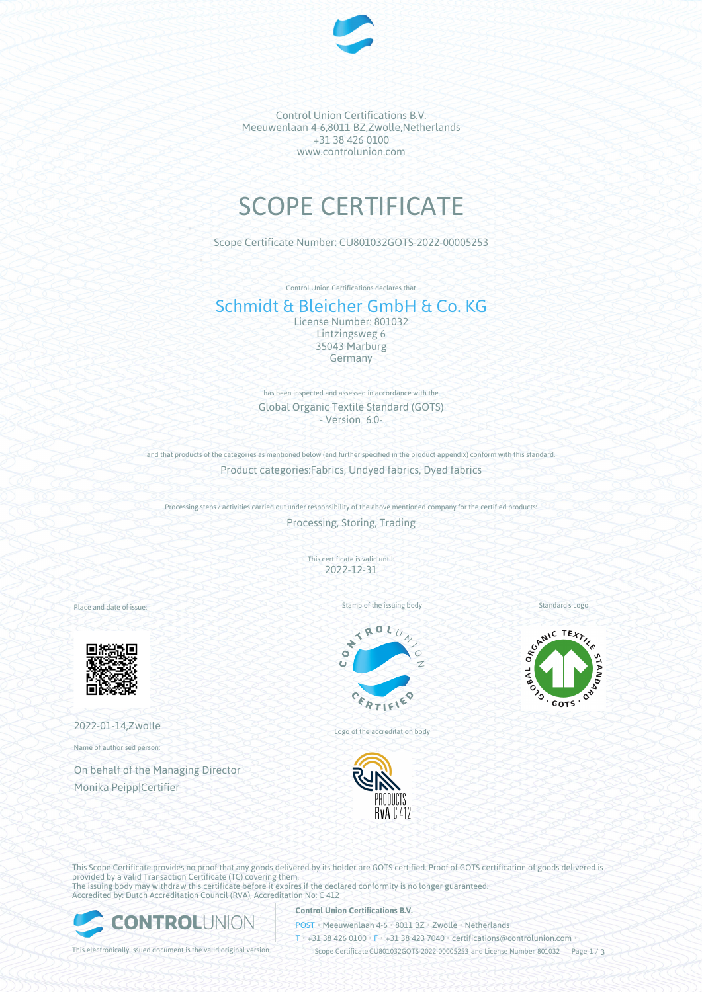

Control Union Certifications B.V. Meeuwenlaan 4-6,8011 BZ,Zwolle,Netherlands +31 38 426 0100 www.controlunion.com

# SCOPE CERTIFICATE

Scope Certificate Number: CU801032GOTS-2022-00005253

Control Union Certifications declares that

# Schmidt & Bleicher GmbH & Co. KG

License Number: 801032 Lintzingsweg 6 35043 Marburg Germany

has been inspected and assessed in accordance with the Global Organic Textile Standard (GOTS) - Version 6.0-

and that products of the categories as mentioned below (and further specified in the product appendix) conform with this standard. Product categories:Fabrics, Undyed fabrics, Dyed fabrics

Processing steps / activities carried out under responsibility of the above mentioned company for the certified products:

Processing, Storing, Trading

This certificate is valid until: 2022-12-31

Place and date of issue:



2022-01-14,Zwolle

Name of authorised person:

On behalf of the Managing Director Monika Peipp|Certifier

Stamp of the issuing body



Logo of the accreditation body



Standard's Logo



This Scope Certificate provides no proof that any goods delivered by its holder are GOTS certified. Proof of GOTS certification of goods delivered is provided by a valid Transaction Certificate (TC) covering them. The issuing body may withdraw this certificate before it expires if the declared conformity is no longer guaranteed. Accredited by: Dutch Accreditation Council (RVA), Accreditation No: C 412



### **Control Union Certifications B.V.**

POST • Meeuwenlaan 4-6 • 8011 BZ • Zwolle • Netherlands

T • +31 38 426 0100 • F • +31 38 423 7040 • certifications@controlunion.com •

This electronically issued document is the valid original version. Scope Certificate CU801032GOTS-2022-00005253 and License Number 801032 Page 1 / 3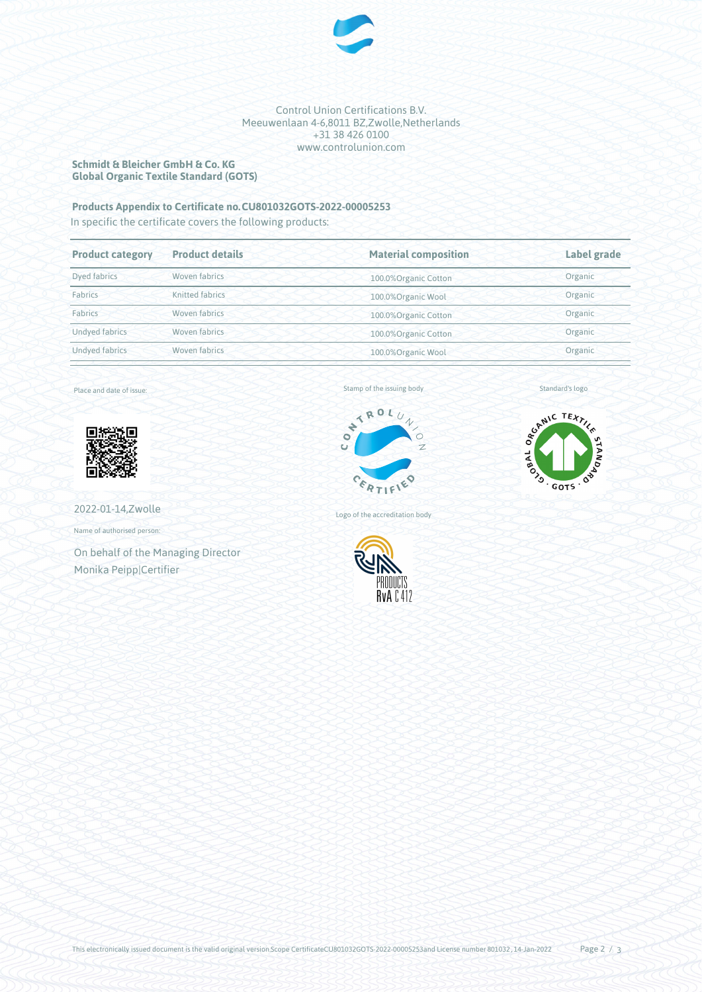

#### Control Union Certifications B.V. Meeuwenlaan 4-6,8011 BZ,Zwolle,Netherlands +31 38 426 0100 www.controlunion.com

### **Schmidt & Bleicher GmbH & Co. KG Global Organic Textile Standard (GOTS)**

# **Products Appendix to Certificate no.CU801032GOTS-2022-00005253**

In specific the certificate covers the following products:

| <b>Product category</b> | <b>Product details</b> | <b>Material composition</b> | Label grade |  |
|-------------------------|------------------------|-----------------------------|-------------|--|
| Dyed fabrics            | Woven fabrics          | 100.0%Organic Cotton        | Organic     |  |
| Fabrics                 | Knitted fabrics        | 100.0% Organic Wool         | Organic     |  |
| Fabrics                 | Woven fabrics          | 100.0%Organic Cotton        | Organic     |  |
| <b>Undved fabrics</b>   | Woven fabrics          | 100.0%Organic Cotton        | Organic     |  |
| Undyed fabrics          | Woven fabrics          | 100.0%Organic Wool          | Organic     |  |
|                         |                        |                             |             |  |

Place and date of issue:



2022-01-14,Zwolle

Name of authorised person:

On behalf of the Managing Director Monika Peipp|Certifier

Stamp of the issuing body



SCANIC TEXTILE OR BOWLIS ST GOTS '

Standard's logo

Logo of the accreditation body